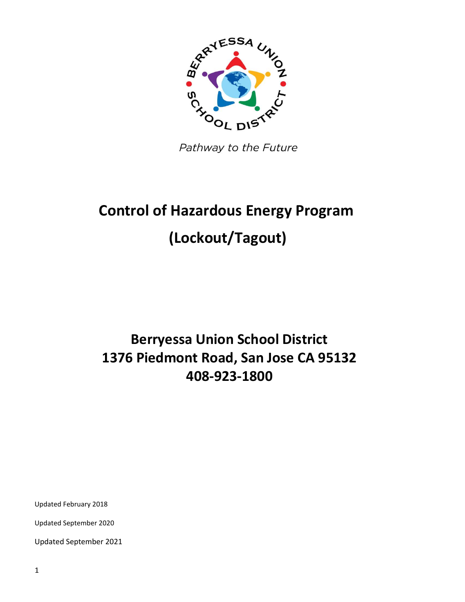

Pathway to the Future

# **Control of Hazardous Energy Program (Lockout/Tagout)**

## **Berryessa Union School District 1376 Piedmont Road, San Jose CA 95132 408-923-1800**

Updated February 2018

Updated September 2020

Updated September 2021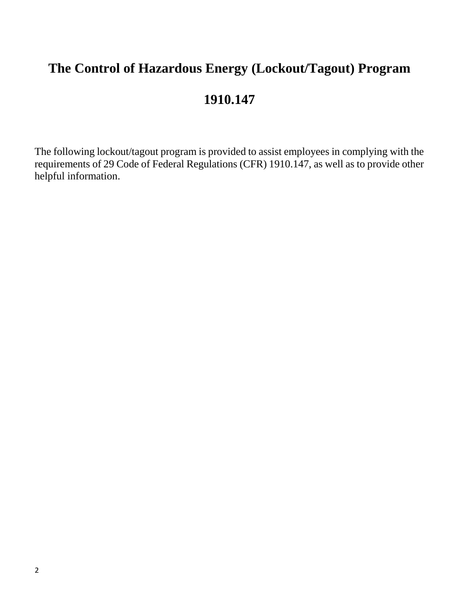## **The Control of Hazardous Energy (Lockout/Tagout) Program**

## **1910.147**

The following lockout/tagout program is provided to assist employees in complying with the requirements of 29 Code of Federal Regulations (CFR) 1910.147, as well as to provide other helpful information.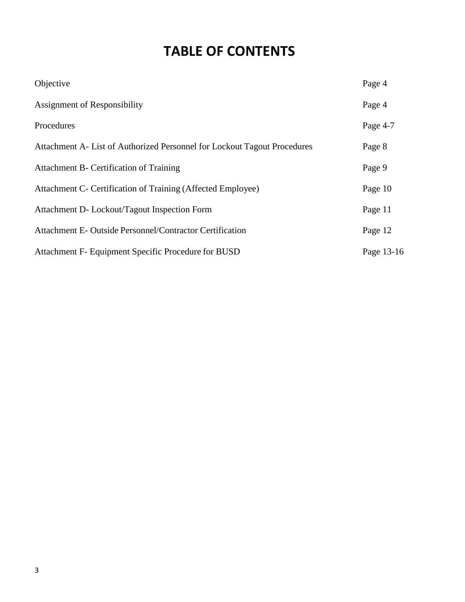## **TABLE OF CONTENTS**

| Objective                                                                | Page 4     |
|--------------------------------------------------------------------------|------------|
| Assignment of Responsibility                                             | Page 4     |
| Procedures                                                               | Page 4-7   |
| Attachment A- List of Authorized Personnel for Lockout Tagout Procedures | Page 8     |
| Attachment B- Certification of Training                                  | Page 9     |
| Attachment C- Certification of Training (Affected Employee)              | Page 10    |
| Attachment D- Lockout/Tagout Inspection Form                             | Page 11    |
| Attachment E- Outside Personnel/Contractor Certification                 | Page 12    |
| Attachment F- Equipment Specific Procedure for BUSD                      | Page 13-16 |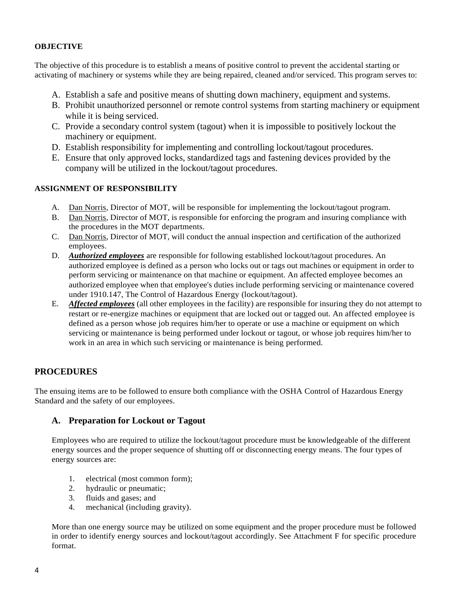#### **OBJECTIVE**

The objective of this procedure is to establish a means of positive control to prevent the accidental starting or activating of machinery or systems while they are being repaired, cleaned and/or serviced. This program serves to:

- A. Establish a safe and positive means of shutting down machinery, equipment and systems.
- B. Prohibit unauthorized personnel or remote control systems from starting machinery or equipment while it is being serviced.
- C. Provide a secondary control system (tagout) when it is impossible to positively lockout the machinery or equipment.
- D. Establish responsibility for implementing and controlling lockout/tagout procedures.
- E. Ensure that only approved locks, standardized tags and fastening devices provided by the company will be utilized in the lockout/tagout procedures.

#### **ASSIGNMENT OF RESPONSIBILITY**

- A. Dan Norris, Director of MOT, will be responsible for implementing the lockout/tagout program.
- B. Dan Norris, Director of MOT, is responsible for enforcing the program and insuring compliance with the procedures in the MOT departments.
- C. Dan Norris, Director of MOT, will conduct the annual inspection and certification of the authorized employees.
- D. *Authorized employees* are responsible for following established lockout/tagout procedures. An authorized employee is defined as a person who locks out or tags out machines or equipment in order to perform servicing or maintenance on that machine or equipment. An affected employee becomes an authorized employee when that employee's duties include performing servicing or maintenance covered under 1910.147, The Control of Hazardous Energy (lockout/tagout).
- E. *Affected employees* (all other employees in the facility) are responsible for insuring they do not attempt to restart or re-energize machines or equipment that are locked out or tagged out. An affected employee is defined as a person whose job requires him/her to operate or use a machine or equipment on which servicing or maintenance is being performed under lockout or tagout, or whose job requires him/her to work in an area in which such servicing or maintenance is being performed.

### **PROCEDURES**

The ensuing items are to be followed to ensure both compliance with the OSHA Control of Hazardous Energy Standard and the safety of our employees.

#### **A. Preparation for Lockout or Tagout**

Employees who are required to utilize the lockout/tagout procedure must be knowledgeable of the different energy sources and the proper sequence of shutting off or disconnecting energy means. The four types of energy sources are:

- 1. electrical (most common form);
- 2. hydraulic or pneumatic;
- 3. fluids and gases; and
- 4. mechanical (including gravity).

More than one energy source may be utilized on some equipment and the proper procedure must be followed in order to identify energy sources and lockout/tagout accordingly. See Attachment F for specific procedure format.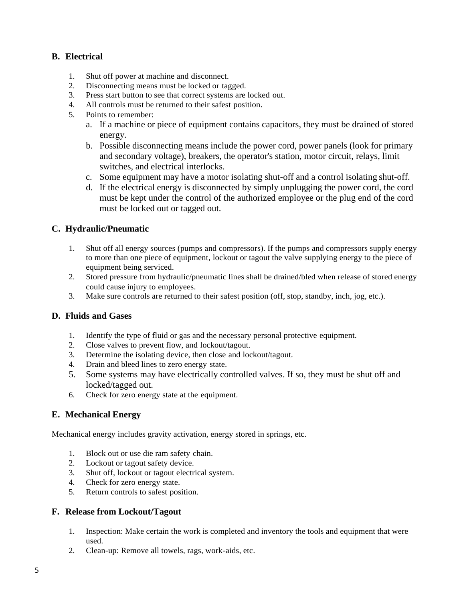### **B. Electrical**

- 1. Shut off power at machine and disconnect.
- 2. Disconnecting means must be locked or tagged.
- 3. Press start button to see that correct systems are locked out.
- 4. All controls must be returned to their safest position.
- 5. Points to remember:
	- a. If a machine or piece of equipment contains capacitors, they must be drained of stored energy.
	- b. Possible disconnecting means include the power cord, power panels (look for primary and secondary voltage), breakers, the operator's station, motor circuit, relays, limit switches, and electrical interlocks.
	- c. Some equipment may have a motor isolating shut-off and a control isolating shut-off.
	- d. If the electrical energy is disconnected by simply unplugging the power cord, the cord must be kept under the control of the authorized employee or the plug end of the cord must be locked out or tagged out.

### **C. Hydraulic/Pneumatic**

- 1. Shut off all energy sources (pumps and compressors). If the pumps and compressors supply energy to more than one piece of equipment, lockout or tagout the valve supplying energy to the piece of equipment being serviced.
- 2. Stored pressure from hydraulic/pneumatic lines shall be drained/bled when release of stored energy could cause injury to employees.
- 3. Make sure controls are returned to their safest position (off, stop, standby, inch, jog, etc.).

#### **D. Fluids and Gases**

- 1. Identify the type of fluid or gas and the necessary personal protective equipment.
- 2. Close valves to prevent flow, and lockout/tagout.
- 3. Determine the isolating device, then close and lockout/tagout.
- 4. Drain and bleed lines to zero energy state.
- 5. Some systems may have electrically controlled valves. If so, they must be shut off and locked/tagged out.
- 6. Check for zero energy state at the equipment.

#### **E. Mechanical Energy**

Mechanical energy includes gravity activation, energy stored in springs, etc.

- 1. Block out or use die ram safety chain.
- 2. Lockout or tagout safety device.
- 3. Shut off, lockout or tagout electrical system.
- 4. Check for zero energy state.
- 5. Return controls to safest position.

#### **F. Release from Lockout/Tagout**

- 1. Inspection: Make certain the work is completed and inventory the tools and equipment that were used.
- 2. Clean-up: Remove all towels, rags, work-aids, etc.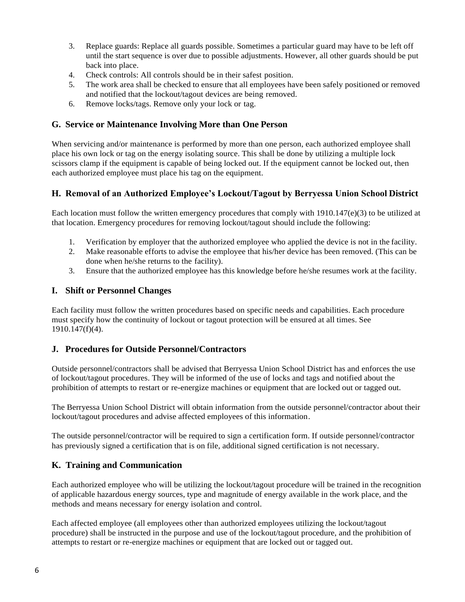- 3. Replace guards: Replace all guards possible. Sometimes a particular guard may have to be left off until the start sequence is over due to possible adjustments. However, all other guards should be put back into place.
- 4. Check controls: All controls should be in their safest position.
- 5. The work area shall be checked to ensure that all employees have been safely positioned or removed and notified that the lockout/tagout devices are being removed.
- 6. Remove locks/tags. Remove only your lock or tag.

#### **G. Service or Maintenance Involving More than One Person**

When servicing and/or maintenance is performed by more than one person, each authorized employee shall place his own lock or tag on the energy isolating source. This shall be done by utilizing a multiple lock scissors clamp if the equipment is capable of being locked out. If the equipment cannot be locked out, then each authorized employee must place his tag on the equipment.

### **H. Removal of an Authorized Employee's Lockout/Tagout by Berryessa Union School District**

Each location must follow the written emergency procedures that comply with 1910.147(e)(3) to be utilized at that location. Emergency procedures for removing lockout/tagout should include the following:

- 1. Verification by employer that the authorized employee who applied the device is not in the facility.
- 2. Make reasonable efforts to advise the employee that his/her device has been removed. (This can be done when he/she returns to the facility).
- 3. Ensure that the authorized employee has this knowledge before he/she resumes work at the facility.

### **I. Shift or Personnel Changes**

Each facility must follow the written procedures based on specific needs and capabilities. Each procedure must specify how the continuity of lockout or tagout protection will be ensured at all times. See 1910.147(f)(4).

### **J. Procedures for Outside Personnel/Contractors**

Outside personnel/contractors shall be advised that Berryessa Union School District has and enforces the use of lockout/tagout procedures. They will be informed of the use of locks and tags and notified about the prohibition of attempts to restart or re-energize machines or equipment that are locked out or tagged out.

The Berryessa Union School District will obtain information from the outside personnel/contractor about their lockout/tagout procedures and advise affected employees of this information.

The outside personnel/contractor will be required to sign a certification form. If outside personnel/contractor has previously signed a certification that is on file, additional signed certification is not necessary.

### **K. Training and Communication**

Each authorized employee who will be utilizing the lockout/tagout procedure will be trained in the recognition of applicable hazardous energy sources, type and magnitude of energy available in the work place, and the methods and means necessary for energy isolation and control.

Each affected employee (all employees other than authorized employees utilizing the lockout/tagout procedure) shall be instructed in the purpose and use of the lockout/tagout procedure, and the prohibition of attempts to restart or re-energize machines or equipment that are locked out or tagged out.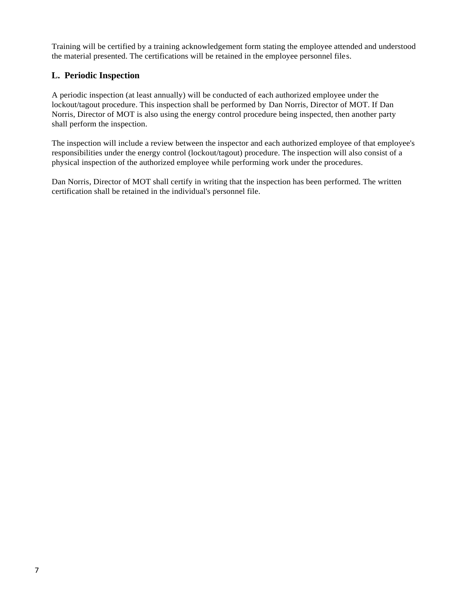Training will be certified by a training acknowledgement form stating the employee attended and understood the material presented. The certifications will be retained in the employee personnel files.

### **L. Periodic Inspection**

A periodic inspection (at least annually) will be conducted of each authorized employee under the lockout/tagout procedure. This inspection shall be performed by Dan Norris, Director of MOT. If Dan Norris, Director of MOT is also using the energy control procedure being inspected, then another party shall perform the inspection.

The inspection will include a review between the inspector and each authorized employee of that employee's responsibilities under the energy control (lockout/tagout) procedure. The inspection will also consist of a physical inspection of the authorized employee while performing work under the procedures.

Dan Norris, Director of MOT shall certify in writing that the inspection has been performed. The written certification shall be retained in the individual's personnel file.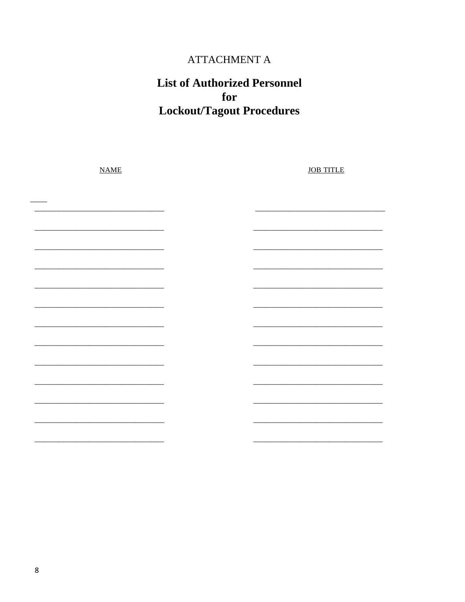### ATTACHMENT A

### **List of Authorized Personnel** for **Lockout/Tagout Procedures**

| NAME | <b>JOB TITLE</b> |
|------|------------------|
|      |                  |
|      |                  |
|      |                  |
|      |                  |
|      |                  |
|      |                  |
|      |                  |
|      |                  |
|      |                  |
|      |                  |
|      |                  |
|      |                  |
|      |                  |
|      |                  |
|      |                  |
|      |                  |
|      |                  |
|      |                  |
|      |                  |
|      |                  |
|      |                  |
|      |                  |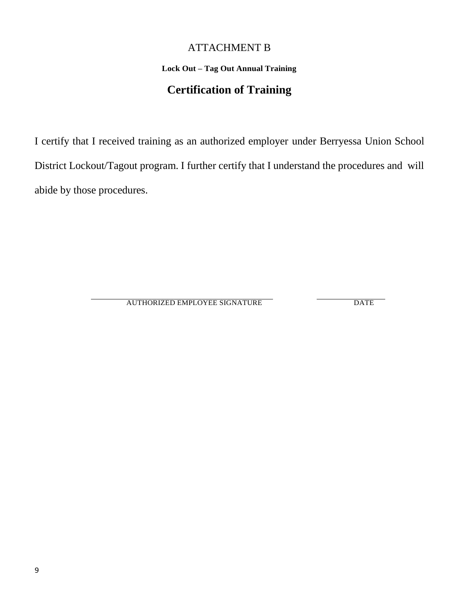### ATTACHMENT B

### **Lock Out – Tag Out Annual Training**

### **Certification of Training**

I certify that I received training as an authorized employer under Berryessa Union School District Lockout/Tagout program. I further certify that I understand the procedures and will abide by those procedures.

AUTHORIZED EMPLOYEE SIGNATURE DATE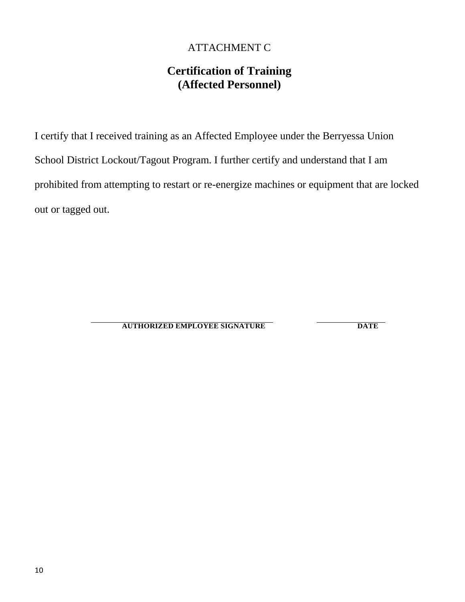### ATTACHMENT C

### **Certification of Training (Affected Personnel)**

I certify that I received training as an Affected Employee under the Berryessa Union School District Lockout/Tagout Program. I further certify and understand that I am prohibited from attempting to restart or re-energize machines or equipment that are locked out or tagged out.

**AUTHORIZED EMPLOYEE SIGNATURE DATE**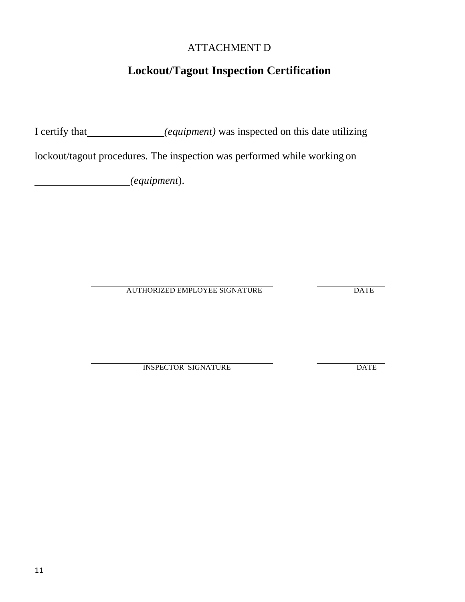### ATTACHMENT D

### **Lockout/Tagout Inspection Certification**

I certify that *(equipment)* was inspected on this date utilizing

lockout/tagout procedures. The inspection was performed while working on

*(equipment*).

AUTHORIZED EMPLOYEE SIGNATURE DATE

INSPECTOR SIGNATURE DATE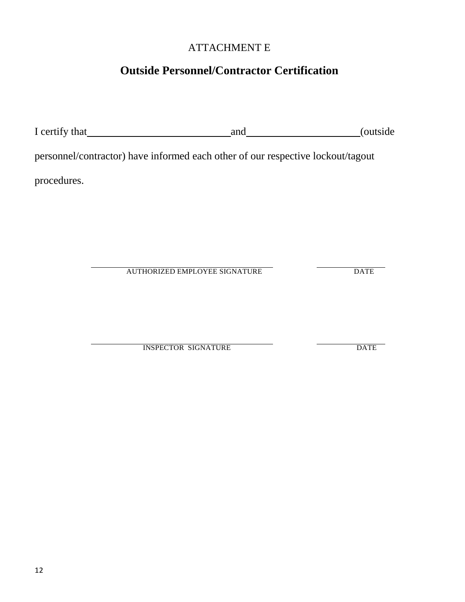### ATTACHMENT E

### **Outside Personnel/Contractor Certification**

| I certify that |                                                                                 | and | (outside    |
|----------------|---------------------------------------------------------------------------------|-----|-------------|
|                | personnel/contractor) have informed each other of our respective lockout/tagout |     |             |
| procedures.    |                                                                                 |     |             |
|                |                                                                                 |     |             |
|                |                                                                                 |     |             |
|                |                                                                                 |     |             |
|                | <b>AUTHORIZED EMPLOYEE SIGNATURE</b>                                            |     | <b>DATE</b> |
|                |                                                                                 |     |             |

INSPECTOR SIGNATURE DATE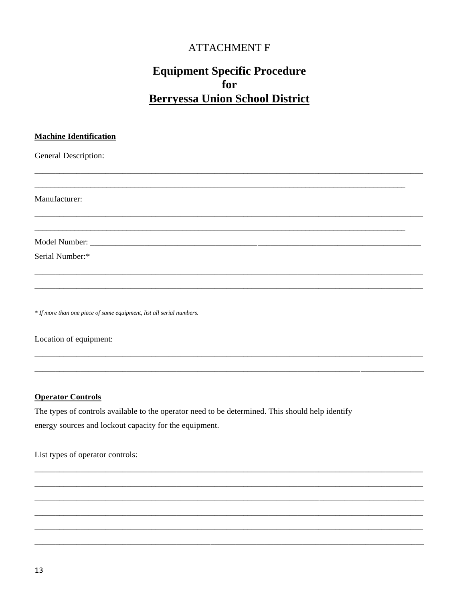### **ATTACHMENT F**

### **Equipment Specific Procedure** for **Berryessa Union School District**

| <b>Machine Identification</b>                                        |  |
|----------------------------------------------------------------------|--|
| <b>General Description:</b>                                          |  |
|                                                                      |  |
| Manufacturer:                                                        |  |
|                                                                      |  |
|                                                                      |  |
| Serial Number:*                                                      |  |
|                                                                      |  |
| * If more than one piece of same equipment, list all serial numbers. |  |
| Location of equipment:                                               |  |

#### **Operator Controls**

The types of controls available to the operator need to be determined. This should help identify energy sources and lockout capacity for the equipment.

List types of operator controls: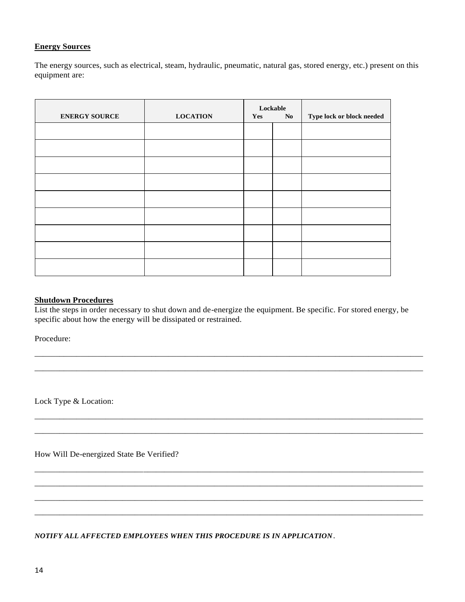#### **Energy Sources**

The energy sources, such as electrical, steam, hydraulic, pneumatic, natural gas, stored energy, etc.) present on this equipment are:

| <b>ENERGY SOURCE</b> | <b>LOCATION</b> | Yes | Lockable<br>No | Type lock or block needed |
|----------------------|-----------------|-----|----------------|---------------------------|
|                      |                 |     |                |                           |
|                      |                 |     |                |                           |
|                      |                 |     |                |                           |
|                      |                 |     |                |                           |
|                      |                 |     |                |                           |
|                      |                 |     |                |                           |
|                      |                 |     |                |                           |
|                      |                 |     |                |                           |
|                      |                 |     |                |                           |

#### **Shutdown Procedures**

List the steps in order necessary to shut down and de-energize the equipment. Be specific. For stored energy, be specific about how the energy will be dissipated or restrained.

\_\_\_\_\_\_\_\_\_\_\_\_\_\_\_\_\_\_\_\_\_\_\_\_\_\_\_\_\_\_\_\_\_\_\_\_\_\_\_\_\_\_\_\_\_\_\_\_\_\_\_\_\_\_\_\_\_\_\_\_\_\_\_\_\_\_\_\_\_\_\_\_\_\_\_\_\_\_\_\_\_\_\_\_\_\_\_\_\_\_\_\_\_ \_\_\_\_\_\_\_\_\_\_\_\_\_\_\_\_\_\_\_\_\_\_\_\_\_\_\_\_\_\_\_\_\_\_\_\_\_\_\_\_\_\_\_\_\_\_\_\_\_\_\_\_\_\_\_\_\_\_\_\_\_\_\_\_\_\_\_\_\_\_\_\_\_\_\_\_\_\_\_\_\_\_\_\_\_\_\_\_\_\_\_\_\_

\_\_\_\_\_\_\_\_\_\_\_\_\_\_\_\_\_\_\_\_\_\_\_\_\_\_\_\_\_\_\_\_\_\_\_\_\_\_\_\_\_\_\_\_\_\_\_\_\_\_\_\_\_\_\_\_\_\_\_\_\_\_\_\_\_\_\_\_\_\_\_\_\_\_\_\_\_\_\_\_\_\_\_\_\_\_\_\_\_\_\_\_\_ \_\_\_\_\_\_\_\_\_\_\_\_\_\_\_\_\_\_\_\_\_\_\_\_\_\_\_\_\_\_\_\_\_\_\_\_\_\_\_\_\_\_\_\_\_\_\_\_\_\_\_\_\_\_\_\_\_\_\_\_\_\_\_\_\_\_\_\_\_\_\_\_\_\_\_\_\_\_\_\_\_\_\_\_\_\_\_\_\_\_\_\_\_

\_\_\_\_\_\_\_\_\_\_\_\_\_\_\_\_\_\_\_\_\_\_\_\_\_\_\_\_\_\_\_\_\_\_\_\_\_\_\_\_\_\_\_\_\_\_\_\_\_\_\_\_\_\_\_\_\_\_\_\_\_\_\_\_\_\_\_\_\_\_\_\_\_\_\_\_\_\_\_\_\_\_\_\_\_\_\_\_\_\_\_\_\_ \_\_\_\_\_\_\_\_\_\_\_\_\_\_\_\_\_\_\_\_\_\_\_\_\_\_\_\_\_\_\_\_\_\_\_\_\_\_\_\_\_\_\_\_\_\_\_\_\_\_\_\_\_\_\_\_\_\_\_\_\_\_\_\_\_\_\_\_\_\_\_\_\_\_\_\_\_\_\_\_\_\_\_\_\_\_\_\_\_\_\_\_\_ \_\_\_\_\_\_\_\_\_\_\_\_\_\_\_\_\_\_\_\_\_\_\_\_\_\_\_\_\_\_\_\_\_\_\_\_\_\_\_\_\_\_\_\_\_\_\_\_\_\_\_\_\_\_\_\_\_\_\_\_\_\_\_\_\_\_\_\_\_\_\_\_\_\_\_\_\_\_\_\_\_\_\_\_\_\_\_\_\_\_\_\_\_ \_\_\_\_\_\_\_\_\_\_\_\_\_\_\_\_\_\_\_\_\_\_\_\_\_\_\_\_\_\_\_\_\_\_\_\_\_\_\_\_\_\_\_\_\_\_\_\_\_\_\_\_\_\_\_\_\_\_\_\_\_\_\_\_\_\_\_\_\_\_\_\_\_\_\_\_\_\_\_\_\_\_\_\_\_\_\_\_\_\_\_\_\_

Procedure:

Lock Type & Location:

How Will De-energized State Be Verified?

*NOTIFY ALL AFFECTED EMPLOYEES WHEN THIS PROCEDURE IS IN APPLICATION*.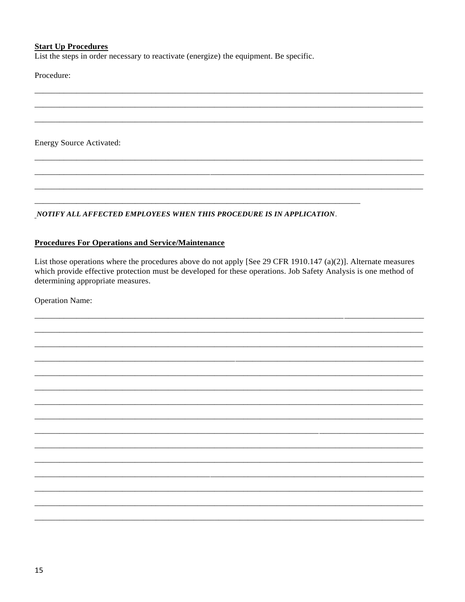#### **Start Up Procedures**

List the steps in order necessary to reactivate (energize) the equipment. Be specific.

Procedure:

**Energy Source Activated:** 

NOTIFY ALL AFFECTED EMPLOYEES WHEN THIS PROCEDURE IS IN APPLICATION.

#### **Procedures For Operations and Service/Maintenance**

List those operations where the procedures above do not apply [See 29 CFR 1910.147 (a)(2)]. Alternate measures which provide effective protection must be developed for these operations. Job Safety Analysis is one method of determining appropriate measures.

**Operation Name:**